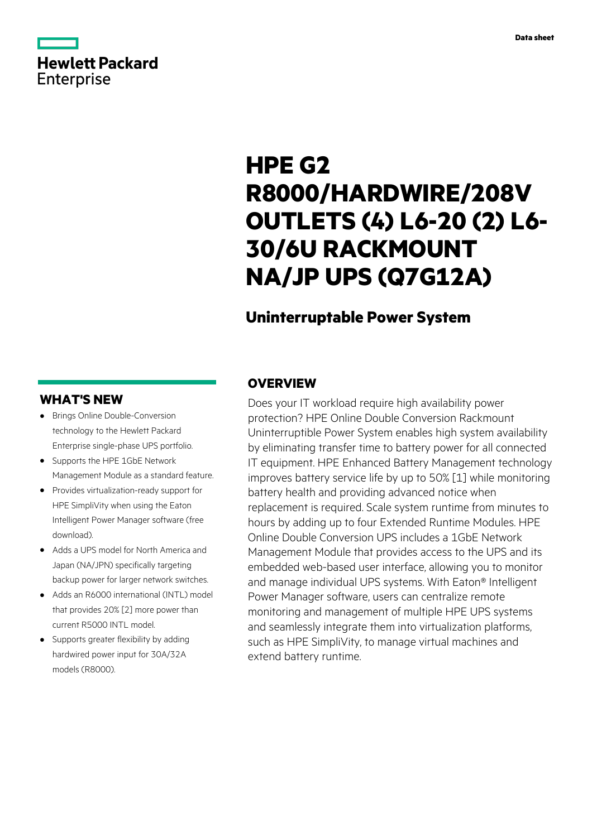# **Hewlett Packard** Enterprise

# **HPE G2 R8000/HARDWIRE/208V OUTLETS (4) L6-20 (2) L6- 30/6U RACKMOUNT NA/JP UPS (Q7G12A)**

# **Uninterruptable Power System**

# **WHAT'S NEW**

- **·** Brings Online Double-Conversion technology to the Hewlett Packard Enterprise single-phase UPS portfolio.
- **·** Supports the HPE 1GbE Network Management Module as a standard feature.
- **·** Provides virtualization-ready support for HPE SimpliVity when using the Eaton Intelligent Power Manager software (free download).
- **·** Adds a UPS model for North America and Japan (NA/JPN) specifically targeting backup power for larger network switches.
- **·** Adds an R6000 international (INTL) model that provides 20% [2] more power than current R5000 INTL model.
- **·** Supports greater flexibility by adding hardwired power input for 30A/32A models (R8000).

# **OVERVIEW**

Does your IT workload require high availability power protection? HPE Online Double Conversion Rackmount Uninterruptible Power System enables high system availability by eliminating transfer time to battery power for all connected IT equipment. HPE Enhanced Battery Management technology improves battery service life by up to 50% [1] while monitoring battery health and providing advanced notice when replacement is required. Scale system runtime from minutes to hours by adding up to four Extended Runtime Modules. HPE Online Double Conversion UPS includes a 1GbE Network Management Module that provides access to the UPS and its embedded web-based user interface, allowing you to monitor and manage individual UPS systems. With Eaton® Intelligent Power Manager software, users can centralize remote monitoring and management of multiple HPE UPS systems and seamlessly integrate them into virtualization platforms, such as HPE SimpliVity, to manage virtual machines and extend battery runtime.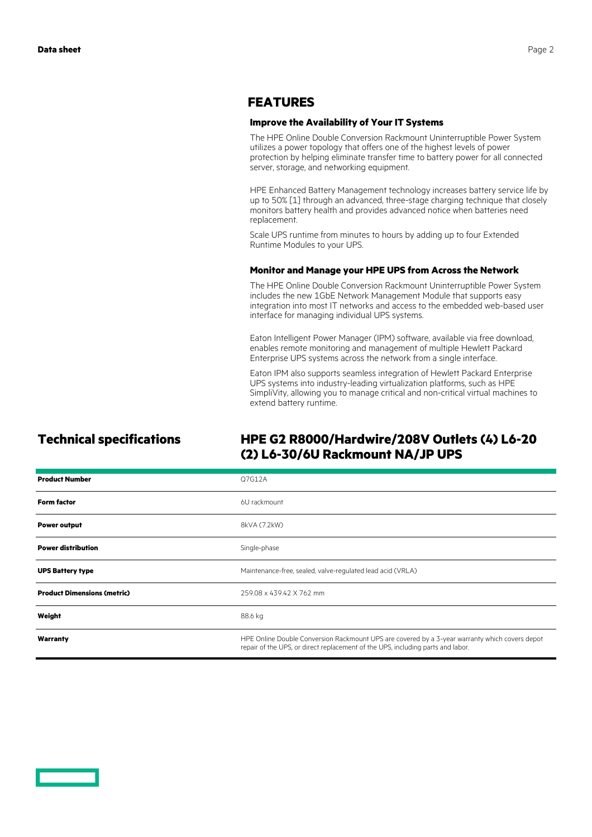### **FEATURES**

#### **Improve the Availability of Your IT Systems**

The HPE Online Double Conversion Rackmount Uninterruptible Power System utilizes a power topology that offers one of the highest levels of power protection by helping eliminate transfer time to battery power for all connected server, storage, and networking equipment.

HPE Enhanced Battery Management technology increases battery service life by up to 50% [1] through an advanced, three-stage charging technique that closely monitors battery health and provides advanced notice when batteries need replacement.

Scale UPS runtime from minutes to hours by adding up to four Extended Runtime Modules to your UPS.

#### **Monitor and Manage your HPE UPS from Across the Network**

The HPE Online Double Conversion Rackmount Uninterruptible Power System includes the new 1GbE Network Management Module that supports easy integration into most IT networks and access to the embedded web-based user interface for managing individual UPS systems.

Eaton Intelligent Power Manager (IPM) software, available via free download, enables remote monitoring and management of multiple Hewlett Packard Enterprise UPS systems across the network from a single interface.

Eaton IPM also supports seamless integration of Hewlett Packard Enterprise UPS systems into industry-leading virtualization platforms, such as HPE SimpliVity, allowing you to manage critical and non-critical virtual machines to extend battery runtime.

# **Technical specifications HPE G2 R8000/Hardwire/208V Outlets (4) L6-20 (2) L6-30/6U Rackmount NA/JP UPS**

| <b>Product Number</b>              | Q7G12A                                                                                                                                                                            |
|------------------------------------|-----------------------------------------------------------------------------------------------------------------------------------------------------------------------------------|
| <b>Form factor</b>                 | 6U rackmount                                                                                                                                                                      |
| <b>Power output</b>                | 8kVA (7.2kW)                                                                                                                                                                      |
| <b>Power distribution</b>          | Single-phase                                                                                                                                                                      |
| <b>UPS Battery type</b>            | Maintenance-free, sealed, valve-regulated lead acid (VRLA)                                                                                                                        |
| <b>Product Dimensions (metric)</b> | 259.08 x 439.42 X 762 mm                                                                                                                                                          |
| Weight                             | 88.6 kg                                                                                                                                                                           |
| Warranty                           | HPE Online Double Conversion Rackmount UPS are covered by a 3-year warranty which covers depot<br>repair of the UPS, or direct replacement of the UPS, including parts and labor. |